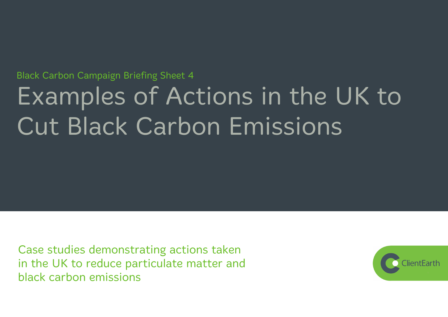# **Black Carbon Campaign Briefing Sheet 4** Examples of Actions in the UK to **Cut Black Carbon Emissions**

Case studies demonstrating actions taken in the UK to reduce particulate matter and black carbon emissions

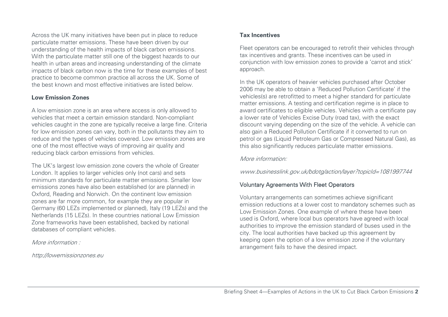Across the UK many initiatives have been put in place to reduce particulate matter emissions. These have been driven by our understanding of the health impacts of black carbon emissions. With the particulate matter still one of the biggest hazards to our health in urban areas and increasing understanding of the climate impacts of black carbon now is the time for these examples of best practice to become common practice all across the UK. Some of the best known and most effective initiatives are listed below.

#### **Low Emission Zones**

A low emission zone is an area where access is only allowed to vehicles that meet a certain emission standard. Non-compliant vehicles caught in the zone are typically receive a large fine. Criteria for low emission zones can vary, both in the pollutants they aim to reduce and the types of vehicles covered. Low emission zones are one of the most effective ways of improving air quality and reducing black carbon emissions from vehicles.

The UK's largest low emission zone covers the whole of Greater London. It applies to larger vehicles only (not cars) and sets minimum standards for particulate matter emissions. Smaller low emissions zones have also been established (or are planned) in Oxford, Reading and Norwich. On the continent low emission zones are far more common, for example they are popular in Germany (60 LEZs implemented or planned), Italy (19 LEZs) and the Netherlands (15 LEZs). In these countries national Low Emission Zone frameworks have been established, backed by national databases of compliant vehicles.

More information :

http://lowemissionzones.eu

# **Tax Incentives**

Fleet operators can be encouraged to retrofit their vehicles through tax incentives and grants. These incentives can be used in conjunction with low emission zones to provide a 'carrot and stick' approach.

In the UK operators of heavier vehicles purchased after October 2006 may be able to obtain a 'Reduced Pollution Certificate' if the vehicles(s) are retrofitted to meet a higher standard for particulate matter emissions. A testing and certification regime is in place to award certificates to eligible vehicles. Vehicles with a certificate pay a lower rate of Vehicles Excise Duty (road tax), with the exact discount varying depending on the size of the vehicle. A vehicle can also gain a Reduced Pollution Certificate if it converted to run on petrol or gas (Liquid Petroleum Gas or Compressed Natural Gas), as this also significantly reduces particulate matter emissions.

# More information:

www.businesslink.gov.uk/bdotg/action/layer?topicId=1081997744

# Voluntary Agreements With Fleet Operators

Voluntary arrangements can sometimes achieve significant emission reductions at a lower cost to mandatory schemes such as Low Emission Zones. One example of where these have been used is Oxford, where local bus operators have agreed with local authorities to improve the emission standard of buses used in the city. The local authorities have backed up this agreement by keeping open the option of a low emission zone if the voluntary arrangement fails to have the desired impact.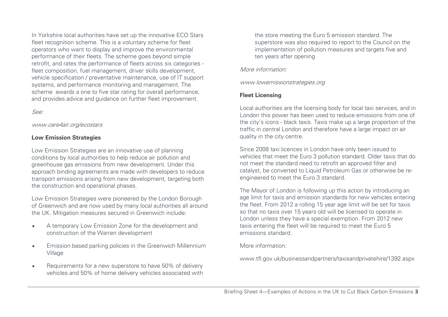In Yorkshire local authorities have set up the innovative ECO Stars fleet recognition scheme. This is a voluntary scheme for fleet operators who want to display and improve the environmental performance of their fleets. The scheme goes beyond simple retrofit, and rates the performance of fleets across six categories fleet composition, fuel management, driver skills development, vehicle specification / preventative maintenance, use of IT support systems, and performance monitoring and management. The scheme awards a one to five star rating for overall performance, and provides advice and guidance on further fleet improvement.

See:

#### www.care4air.org/ecostars

# **Low Emission Strategies**

Low Emission Strategies are an innovative use of planning conditions by local authorities to help reduce air pollution and greenhouse gas emissions from new development. Under this approach binding agreements are made with developers to reduce transport emissions arising from new development, targeting both the construction and operational phases.

Low Emission Strategies were pioneered by the London Borough of Greenwich and are now used by many local authorities all around the UK. Mitigation measures secured in Greenwich include:

- A temporary Low Emission Zone for the development and construction of the Warren development
- Emission based parking policies in the Greenwich Millennium Village
- Requirements for a new superstore to have 50% of delivery vehicles and 50% of home delivery vehicles associated with

the store meeting the Euro 5 emission standard. The superstore was also required to report to the Council on the implementation of pollution measures and targets five and ten years after opening

# More information:

www.lowemissionstrategies.org

# **Fleet Licensing**

Local authorities are the licensing body for local taxi services, and in London this power has been used to reduce emissions from one of the city's icons - black taxis. Taxis make up a large proportion of the traffic in central London and therefore have a large impact on air quality in the city centre.

Since 2008 taxi licences in London have only been issued to vehicles that meet the Euro 3 pollution standard. Older taxis that do not meet the standard need to retrofit an approved filter and catalyst, be converted to Liquid Petroleum Gas or otherwise be reengineered to meet the Euro 3 standard.

The Mayor of London is following up this action by introducing an age limit for taxis and emission standards for new vehicles entering the fleet. From 2012 a rolling 15 year age limit will be set for taxis so that no taxis over 15 years old will be licensed to operate in London unless they have a special exemption. From 2012 new taxis entering the fleet will be required to meet the Euro 5 emissions standard.

More information:

www.tfl.gov.uk/businessandpartners/taxisandprivatehire/1392.aspx